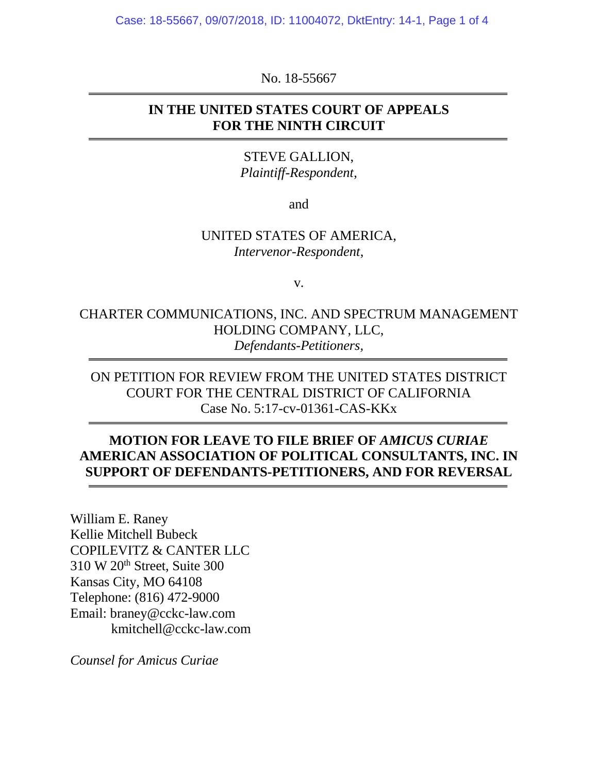Case: 18-55667, 09/07/2018, ID: 11004072, DktEntry: 14-1, Page 1 of 4

No. 18-55667

#### **IN THE UNITED STATES COURT OF APPEALS FOR THE NINTH CIRCUIT**

STEVE GALLION, *Plaintiff-Respondent*,

and

#### UNITED STATES OF AMERICA, *Intervenor-Respondent*,

v.

CHARTER COMMUNICATIONS, INC. AND SPECTRUM MANAGEMENT HOLDING COMPANY, LLC, *Defendants-Petitioners,* 

ON PETITION FOR REVIEW FROM THE UNITED STATES DISTRICT COURT FOR THE CENTRAL DISTRICT OF CALIFORNIA Case No. 5:17-cv-01361-CAS-KKx

### **MOTION FOR LEAVE TO FILE BRIEF OF** *AMICUS CURIAE* **AMERICAN ASSOCIATION OF POLITICAL CONSULTANTS, INC. IN SUPPORT OF DEFENDANTS-PETITIONERS, AND FOR REVERSAL**

William E. Raney Kellie Mitchell Bubeck COPILEVITZ & CANTER LLC 310 W 20th Street, Suite 300 Kansas City, MO 64108 Telephone: (816) 472-9000 Email: braney@cckc-law.com kmitchell@cckc-law.com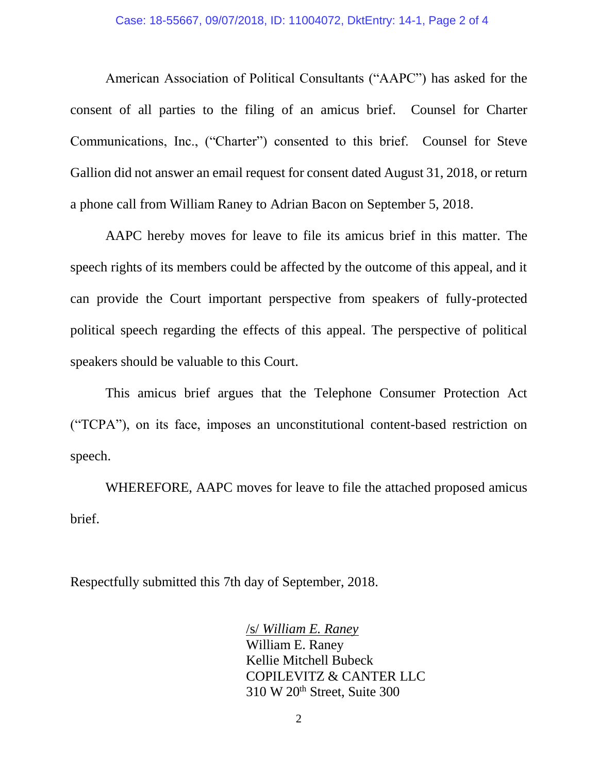American Association of Political Consultants ("AAPC") has asked for the consent of all parties to the filing of an amicus brief. Counsel for Charter Communications, Inc., ("Charter") consented to this brief. Counsel for Steve Gallion did not answer an email request for consent dated August 31, 2018, or return a phone call from William Raney to Adrian Bacon on September 5, 2018.

AAPC hereby moves for leave to file its amicus brief in this matter. The speech rights of its members could be affected by the outcome of this appeal, and it can provide the Court important perspective from speakers of fully-protected political speech regarding the effects of this appeal. The perspective of political speakers should be valuable to this Court.

This amicus brief argues that the Telephone Consumer Protection Act ("TCPA"), on its face, imposes an unconstitutional content-based restriction on speech.

WHEREFORE, AAPC moves for leave to file the attached proposed amicus brief.

Respectfully submitted this 7th day of September, 2018.

#### /s/ *William E. Raney*

William E. Raney Kellie Mitchell Bubeck COPILEVITZ & CANTER LLC 310 W 20th Street, Suite 300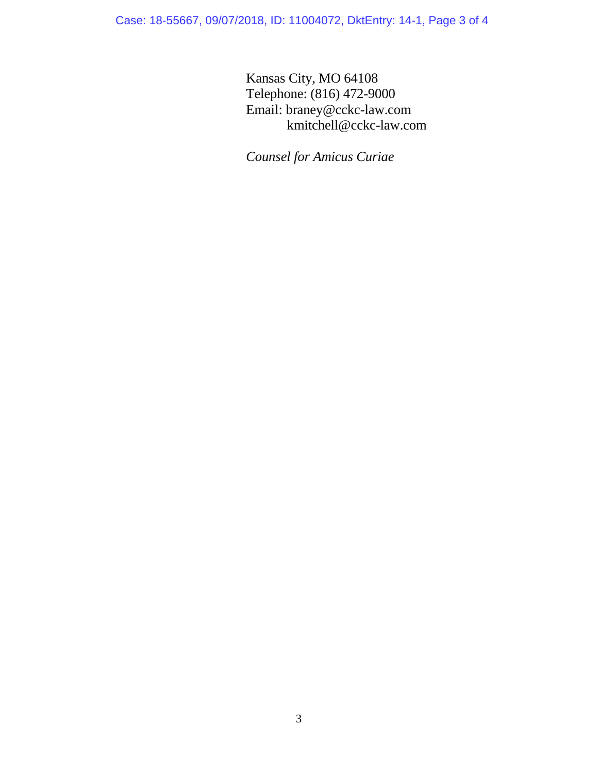Case: 18-55667, 09/07/2018, ID: 11004072, DktEntry: 14-1, Page 3 of 4

Kansas City, MO 64108 Telephone: (816) 472-9000 Email: braney@cckc-law.com kmitchell@cckc-law.com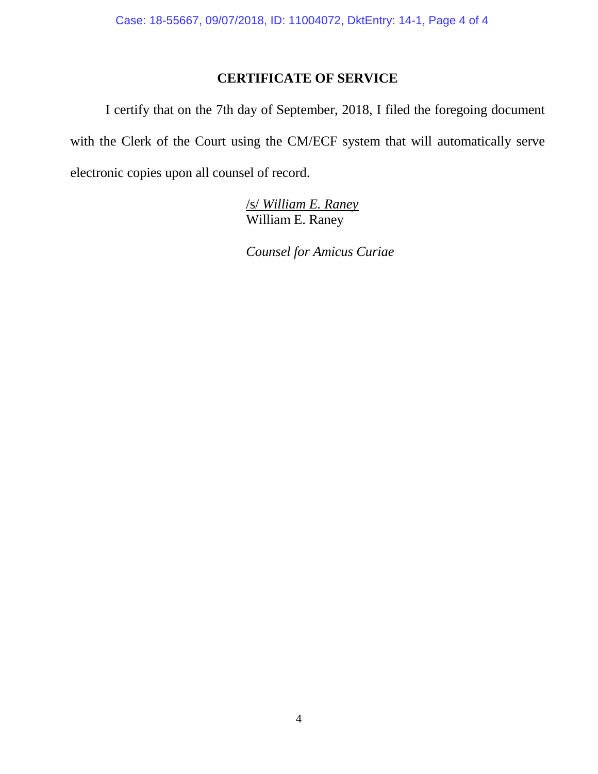## **CERTIFICATE OF SERVICE**

I certify that on the 7th day of September, 2018, I filed the foregoing document with the Clerk of the Court using the CM/ECF system that will automatically serve electronic copies upon all counsel of record.

> /s/ *William E. Raney*  William E. Raney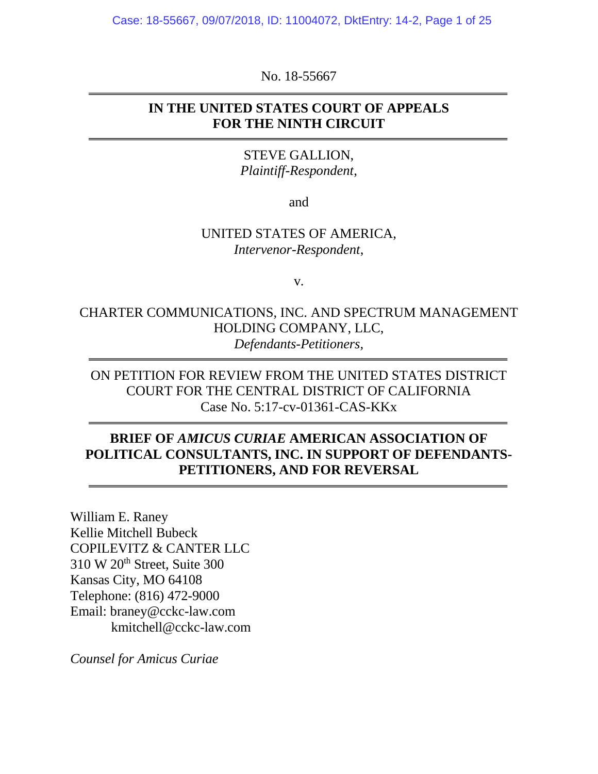Case: 18-55667, 09/07/2018, ID: 11004072, DktEntry: 14-2, Page 1 of 25

No. 18-55667

#### **IN THE UNITED STATES COURT OF APPEALS FOR THE NINTH CIRCUIT**

STEVE GALLION, *Plaintiff-Respondent*,

and

#### UNITED STATES OF AMERICA, *Intervenor-Respondent*,

v.

CHARTER COMMUNICATIONS, INC. AND SPECTRUM MANAGEMENT HOLDING COMPANY, LLC, *Defendants-Petitioners,* 

ON PETITION FOR REVIEW FROM THE UNITED STATES DISTRICT COURT FOR THE CENTRAL DISTRICT OF CALIFORNIA Case No. 5:17-cv-01361-CAS-KKx

### **BRIEF OF** *AMICUS CURIAE* **AMERICAN ASSOCIATION OF POLITICAL CONSULTANTS, INC. IN SUPPORT OF DEFENDANTS-PETITIONERS, AND FOR REVERSAL**

William E. Raney Kellie Mitchell Bubeck COPILEVITZ & CANTER LLC 310 W 20th Street, Suite 300 Kansas City, MO 64108 Telephone: (816) 472-9000 Email: braney@cckc-law.com kmitchell@cckc-law.com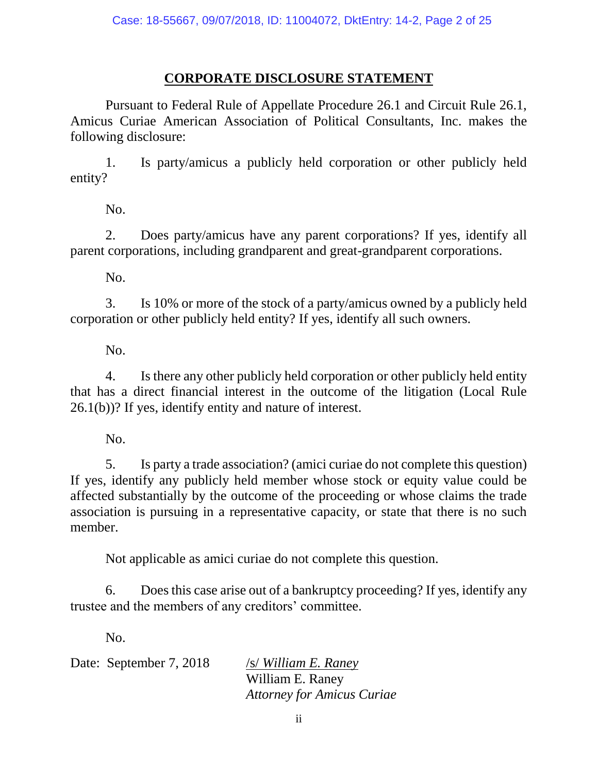## **CORPORATE DISCLOSURE STATEMENT**

<span id="page-5-0"></span>Pursuant to Federal Rule of Appellate Procedure 26.1 and Circuit Rule 26.1, Amicus Curiae American Association of Political Consultants, Inc. makes the following disclosure:

1. Is party/amicus a publicly held corporation or other publicly held entity?

No.

2. Does party/amicus have any parent corporations? If yes, identify all parent corporations, including grandparent and great-grandparent corporations.

No.

3. Is 10% or more of the stock of a party/amicus owned by a publicly held corporation or other publicly held entity? If yes, identify all such owners.

No.

4. Is there any other publicly held corporation or other publicly held entity that has a direct financial interest in the outcome of the litigation (Local Rule 26.1(b))? If yes, identify entity and nature of interest.

No.

5. Is party a trade association? (amici curiae do not complete this question) If yes, identify any publicly held member whose stock or equity value could be affected substantially by the outcome of the proceeding or whose claims the trade association is pursuing in a representative capacity, or state that there is no such member.

Not applicable as amici curiae do not complete this question.

6. Does this case arise out of a bankruptcy proceeding? If yes, identify any trustee and the members of any creditors' committee.

No.

Date: September 7, 2018 /s/ *William E. Raney* 

William E. Raney *Attorney for Amicus Curiae*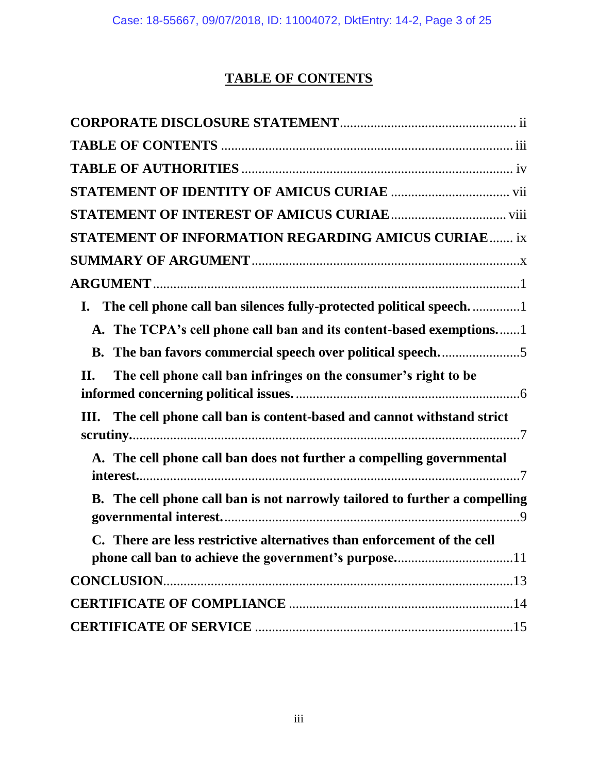# **TABLE OF CONTENTS**

<span id="page-6-0"></span>

| <b>STATEMENT OF INFORMATION REGARDING AMICUS CURIAE ix</b>                  |
|-----------------------------------------------------------------------------|
|                                                                             |
|                                                                             |
| The cell phone call ban silences fully-protected political speech1<br>I.    |
| A. The TCPA's cell phone call ban and its content-based exemptions1         |
|                                                                             |
| The cell phone call ban infringes on the consumer's right to be<br>Π.       |
| The cell phone call ban is content-based and cannot withstand strict<br>Ш.  |
| A. The cell phone call ban does not further a compelling governmental       |
| B. The cell phone call ban is not narrowly tailored to further a compelling |
| C. There are less restrictive alternatives than enforcement of the cell     |
| <b>CONCLUSION.</b>                                                          |
|                                                                             |
|                                                                             |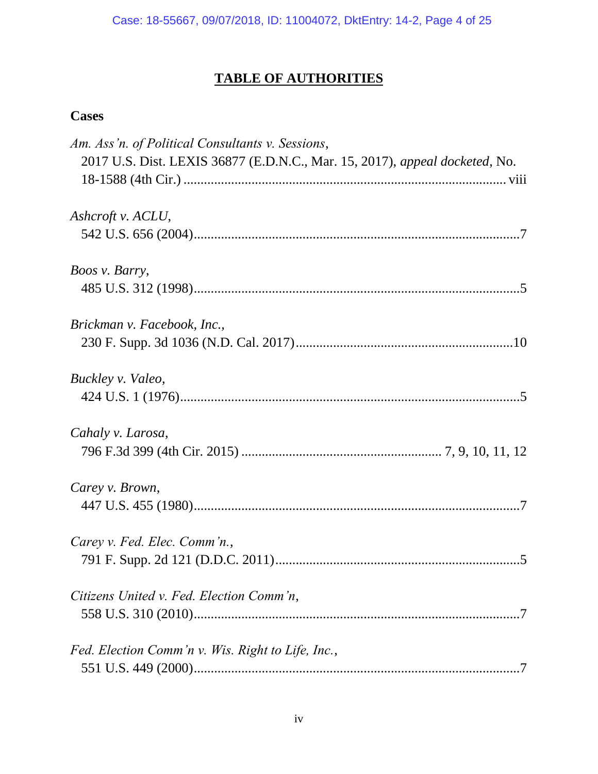# **TABLE OF AUTHORITIES**

## <span id="page-7-0"></span>**Cases**

| Am. Ass'n. of Political Consultants v. Sessions,                            |
|-----------------------------------------------------------------------------|
| 2017 U.S. Dist. LEXIS 36877 (E.D.N.C., Mar. 15, 2017), appeal docketed, No. |
|                                                                             |
| Ashcroft v. ACLU,                                                           |
|                                                                             |
| <i>Boos v. Barry,</i>                                                       |
|                                                                             |
| Brickman v. Facebook, Inc.,                                                 |
|                                                                             |
| Buckley v. Valeo,                                                           |
|                                                                             |
| Cahaly v. Larosa,                                                           |
|                                                                             |
| Carey v. Brown,                                                             |
|                                                                             |
| Carey v. Fed. Elec. Comm'n.,                                                |
|                                                                             |
| Citizens United v. Fed. Election Comm'n,                                    |
|                                                                             |
| Fed. Election Comm'n v. Wis. Right to Life, Inc.,                           |
|                                                                             |
|                                                                             |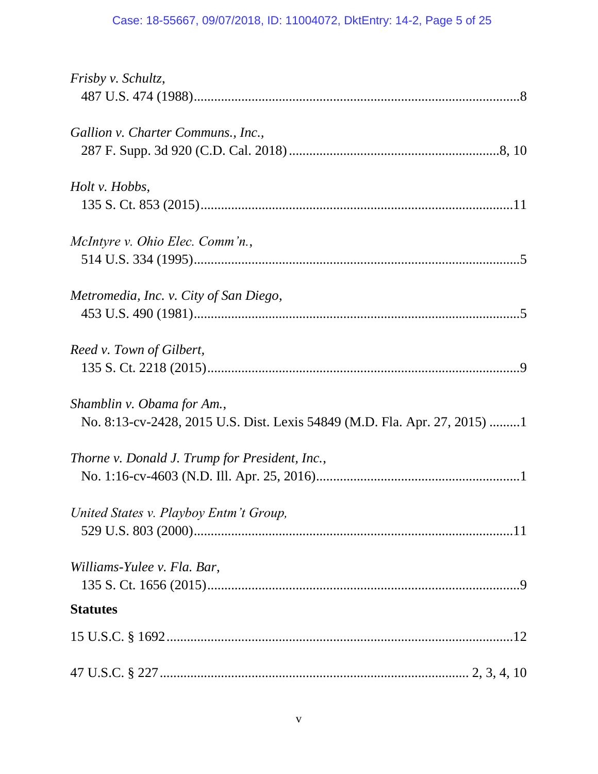## Case: 18-55667, 09/07/2018, ID: 11004072, DktEntry: 14-2, Page 5 of 25

| <i>Frisby v. Schultz,</i>                                                                               |
|---------------------------------------------------------------------------------------------------------|
| Gallion v. Charter Communs., Inc.,                                                                      |
| Holt v. Hobbs,                                                                                          |
| McIntyre v. Ohio Elec. Comm'n.,                                                                         |
|                                                                                                         |
| Metromedia, Inc. v. City of San Diego,                                                                  |
| Reed v. Town of Gilbert,                                                                                |
| Shamblin v. Obama for Am.,<br>No. 8:13-cv-2428, 2015 U.S. Dist. Lexis 54849 (M.D. Fla. Apr. 27, 2015) 1 |
| Thorne v. Donald J. Trump for President, Inc.,                                                          |
| United States v. Playboy Entm't Group,                                                                  |
| Williams-Yulee v. Fla. Bar,                                                                             |
| <b>Statutes</b>                                                                                         |
|                                                                                                         |
|                                                                                                         |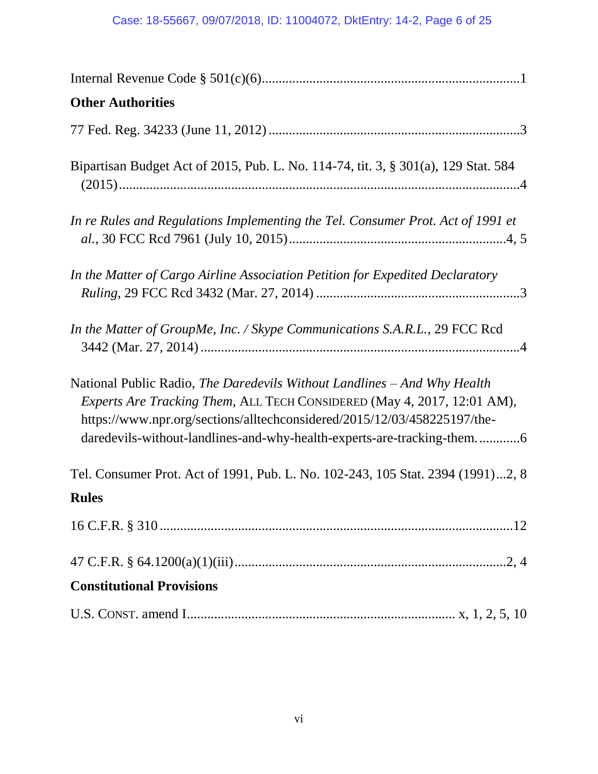## Case: 18-55667, 09/07/2018, ID: 11004072, DktEntry: 14-2, Page 6 of 25

| <b>Other Authorities</b>                                                                                                                                                                                                                                                                                  |
|-----------------------------------------------------------------------------------------------------------------------------------------------------------------------------------------------------------------------------------------------------------------------------------------------------------|
|                                                                                                                                                                                                                                                                                                           |
| Bipartisan Budget Act of 2015, Pub. L. No. 114-74, tit. 3, § 301(a), 129 Stat. 584                                                                                                                                                                                                                        |
| In re Rules and Regulations Implementing the Tel. Consumer Prot. Act of 1991 et                                                                                                                                                                                                                           |
| In the Matter of Cargo Airline Association Petition for Expedited Declaratory                                                                                                                                                                                                                             |
| In the Matter of GroupMe, Inc. / Skype Communications S.A.R.L., 29 FCC Rcd                                                                                                                                                                                                                                |
| National Public Radio, The Daredevils Without Landlines – And Why Health<br>Experts Are Tracking Them, ALL TECH CONSIDERED (May 4, 2017, 12:01 AM),<br>https://www.npr.org/sections/alltechconsidered/2015/12/03/458225197/the-<br>daredevils-without-landlines-and-why-health-experts-are-tracking-them6 |
| Tel. Consumer Prot. Act of 1991, Pub. L. No. 102-243, 105 Stat. 2394 (1991)2, 8                                                                                                                                                                                                                           |
| <b>Rules</b>                                                                                                                                                                                                                                                                                              |
|                                                                                                                                                                                                                                                                                                           |
|                                                                                                                                                                                                                                                                                                           |
| <b>Constitutional Provisions</b>                                                                                                                                                                                                                                                                          |
|                                                                                                                                                                                                                                                                                                           |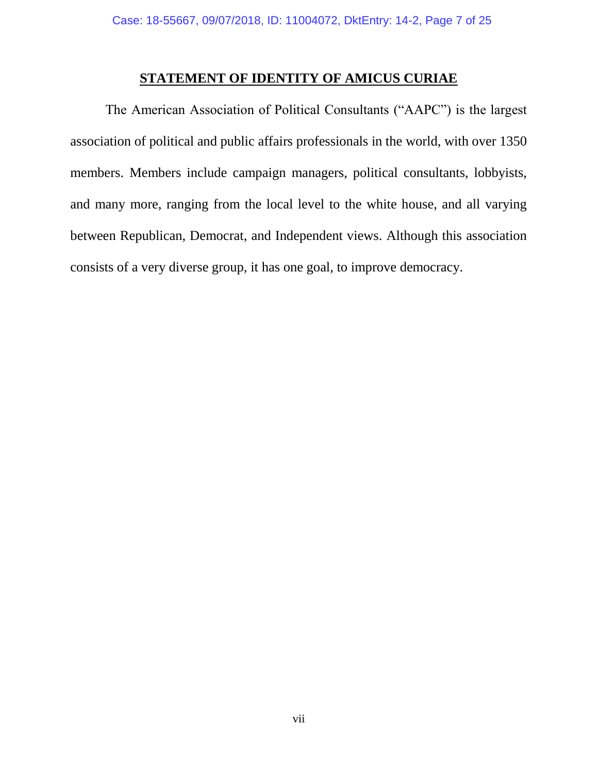## **STATEMENT OF IDENTITY OF AMICUS CURIAE**

<span id="page-10-0"></span>The American Association of Political Consultants ("AAPC") is the largest association of political and public affairs professionals in the world, with over 1350 members. Members include campaign managers, political consultants, lobbyists, and many more, ranging from the local level to the white house, and all varying between Republican, Democrat, and Independent views. Although this association consists of a very diverse group, it has one goal, to improve democracy.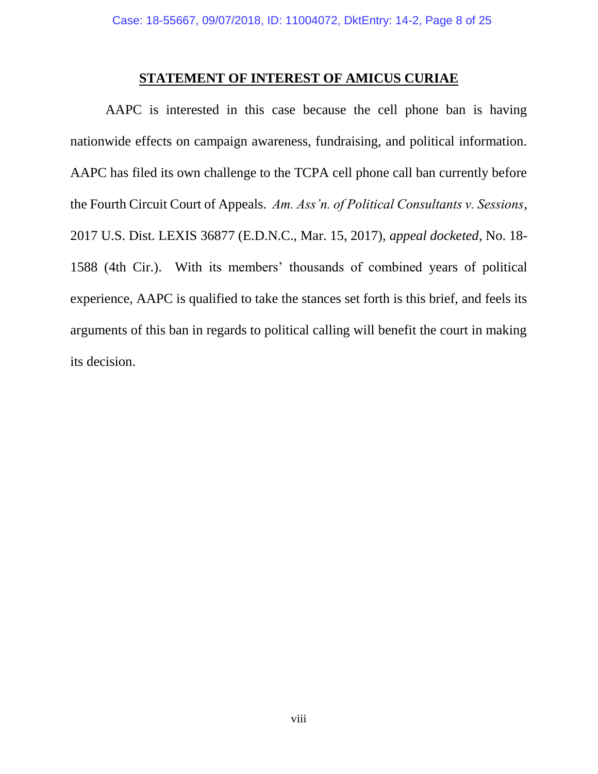#### **STATEMENT OF INTEREST OF AMICUS CURIAE**

<span id="page-11-0"></span>AAPC is interested in this case because the cell phone ban is having nationwide effects on campaign awareness, fundraising, and political information. AAPC has filed its own challenge to the TCPA cell phone call ban currently before the Fourth Circuit Court of Appeals. *Am. Ass'n. of Political Consultants v. Sessions*, 2017 U.S. Dist. LEXIS 36877 (E.D.N.C., Mar. 15, 2017), *appeal docketed*, No. 18- 1588 (4th Cir.). With its members' thousands of combined years of political experience, AAPC is qualified to take the stances set forth is this brief, and feels its arguments of this ban in regards to political calling will benefit the court in making its decision.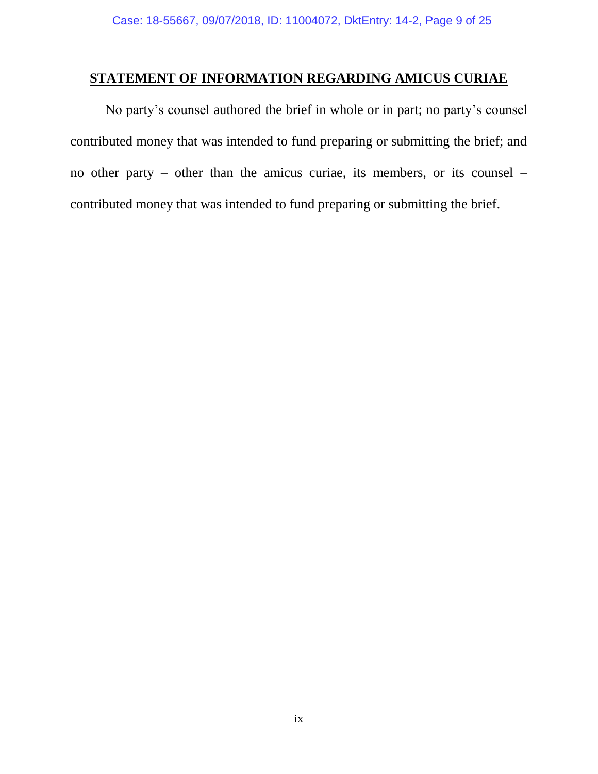### <span id="page-12-0"></span>**STATEMENT OF INFORMATION REGARDING AMICUS CURIAE**

No party's counsel authored the brief in whole or in part; no party's counsel contributed money that was intended to fund preparing or submitting the brief; and no other party – other than the amicus curiae, its members, or its counsel – contributed money that was intended to fund preparing or submitting the brief.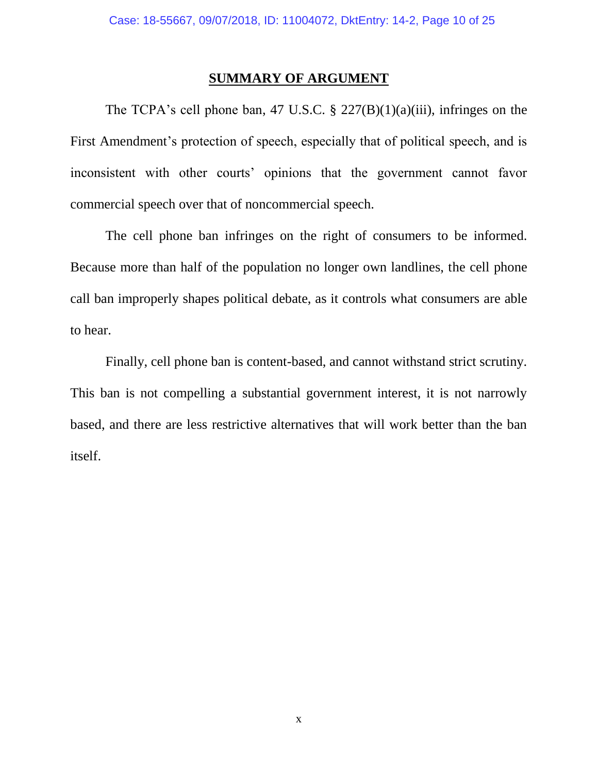#### **SUMMARY OF ARGUMENT**

<span id="page-13-0"></span>The TCPA's cell phone ban, 47 U.S.C.  $\S$  227(B)(1)(a)(iii), infringes on the First Amendment's protection of speech, especially that of political speech, and is inconsistent with other courts' opinions that the government cannot favor commercial speech over that of noncommercial speech.

The cell phone ban infringes on the right of consumers to be informed. Because more than half of the population no longer own landlines, the cell phone call ban improperly shapes political debate, as it controls what consumers are able to hear.

Finally, cell phone ban is content-based, and cannot withstand strict scrutiny. This ban is not compelling a substantial government interest, it is not narrowly based, and there are less restrictive alternatives that will work better than the ban itself.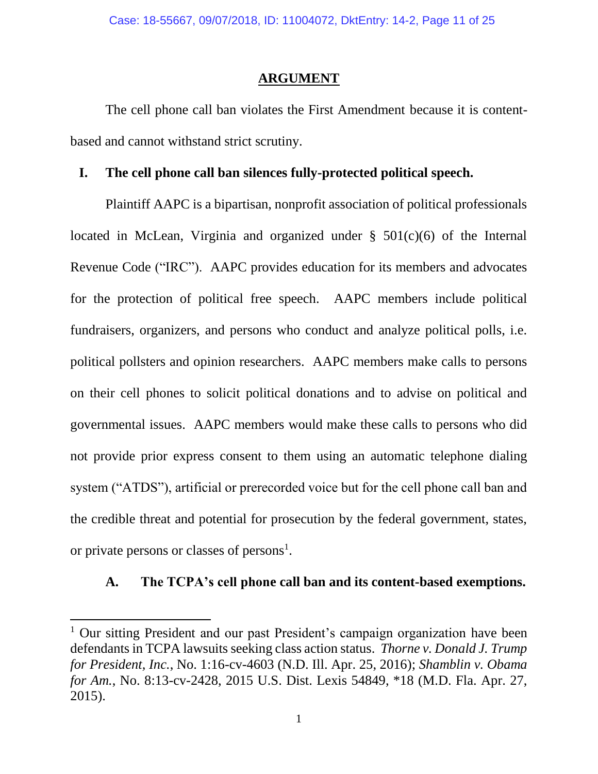#### **ARGUMENT**

<span id="page-14-0"></span>The cell phone call ban violates the First Amendment because it is contentbased and cannot withstand strict scrutiny.

#### <span id="page-14-1"></span>**I. The cell phone call ban silences fully-protected political speech.**

Plaintiff AAPC is a bipartisan, nonprofit association of political professionals located in McLean, Virginia and organized under  $\S$  501(c)(6) of the Internal Revenue Code ("IRC"). AAPC provides education for its members and advocates for the protection of political free speech. AAPC members include political fundraisers, organizers, and persons who conduct and analyze political polls, i.e. political pollsters and opinion researchers. AAPC members make calls to persons on their cell phones to solicit political donations and to advise on political and governmental issues. AAPC members would make these calls to persons who did not provide prior express consent to them using an automatic telephone dialing system ("ATDS"), artificial or prerecorded voice but for the cell phone call ban and the credible threat and potential for prosecution by the federal government, states, or private persons or classes of persons<sup>1</sup>.

### <span id="page-14-2"></span>**A. The TCPA's cell phone call ban and its content-based exemptions.**

 $\overline{\phantom{a}}$ 

<sup>&</sup>lt;sup>1</sup> Our sitting President and our past President's campaign organization have been defendants in TCPA lawsuits seeking class action status. *Thorne v. Donald J. Trump for President, Inc.*, No. 1:16-cv-4603 (N.D. Ill. Apr. 25, 2016); *Shamblin v. Obama for Am.*, No. 8:13-cv-2428, 2015 U.S. Dist. Lexis 54849, \*18 (M.D. Fla. Apr. 27, 2015).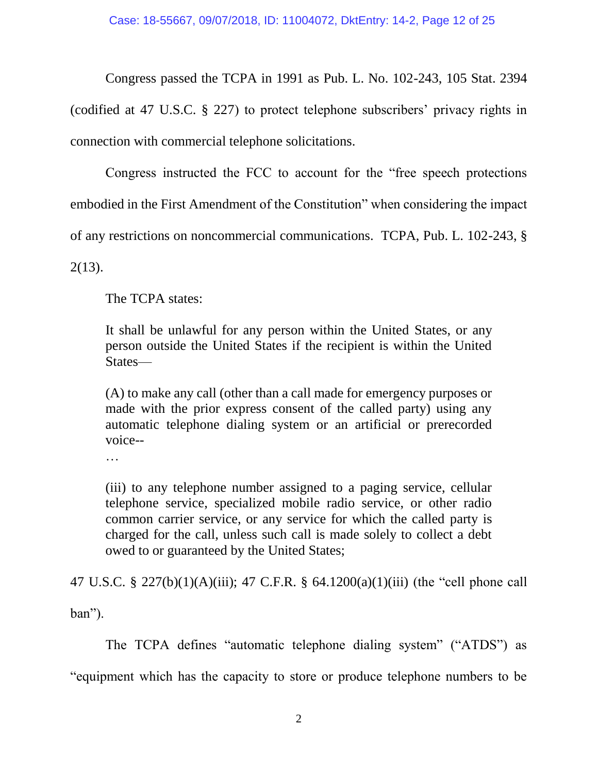Congress passed the TCPA in 1991 as Pub. L. No. 102-243, 105 Stat. 2394 (codified at 47 U.S.C. § 227) to protect telephone subscribers' privacy rights in connection with commercial telephone solicitations.

Congress instructed the FCC to account for the "free speech protections embodied in the First Amendment of the Constitution" when considering the impact of any restrictions on noncommercial communications. TCPA, Pub. L. 102-243, §

2(13).

The TCPA states:

It shall be unlawful for any person within the United States, or any person outside the United States if the recipient is within the United States—

(A) to make any call (other than a call made for emergency purposes or made with the prior express consent of the called party) using any automatic telephone dialing system or an artificial or prerecorded voice--

…

(iii) to any telephone number assigned to a paging service, cellular telephone service, specialized mobile radio service, or other radio common carrier service, or any service for which the called party is charged for the call, unless such call is made solely to collect a debt owed to or guaranteed by the United States;

47 U.S.C. § 227(b)(1)(A)(iii); 47 C.F.R. § 64.1200(a)(1)(iii) (the "cell phone call ban").

The TCPA defines "automatic telephone dialing system" ("ATDS") as "equipment which has the capacity to store or produce telephone numbers to be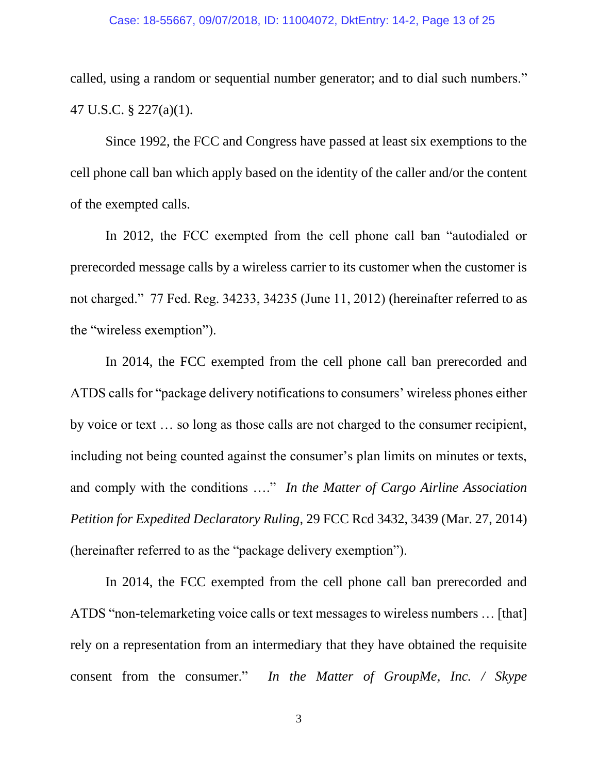called, using a random or sequential number generator; and to dial such numbers." 47 U.S.C. § 227(a)(1).

Since 1992, the FCC and Congress have passed at least six exemptions to the cell phone call ban which apply based on the identity of the caller and/or the content of the exempted calls.

In 2012, the FCC exempted from the cell phone call ban "autodialed or prerecorded message calls by a wireless carrier to its customer when the customer is not charged." 77 Fed. Reg. 34233, 34235 (June 11, 2012) (hereinafter referred to as the "wireless exemption").

In 2014, the FCC exempted from the cell phone call ban prerecorded and ATDS calls for "package delivery notifications to consumers' wireless phones either by voice or text … so long as those calls are not charged to the consumer recipient, including not being counted against the consumer's plan limits on minutes or texts, and comply with the conditions …." *In the Matter of Cargo Airline Association Petition for Expedited Declaratory Ruling*, 29 FCC Rcd 3432, 3439 (Mar. 27, 2014) (hereinafter referred to as the "package delivery exemption").

In 2014, the FCC exempted from the cell phone call ban prerecorded and ATDS "non-telemarketing voice calls or text messages to wireless numbers … [that] rely on a representation from an intermediary that they have obtained the requisite consent from the consumer." *In the Matter of GroupMe, Inc. / Skype*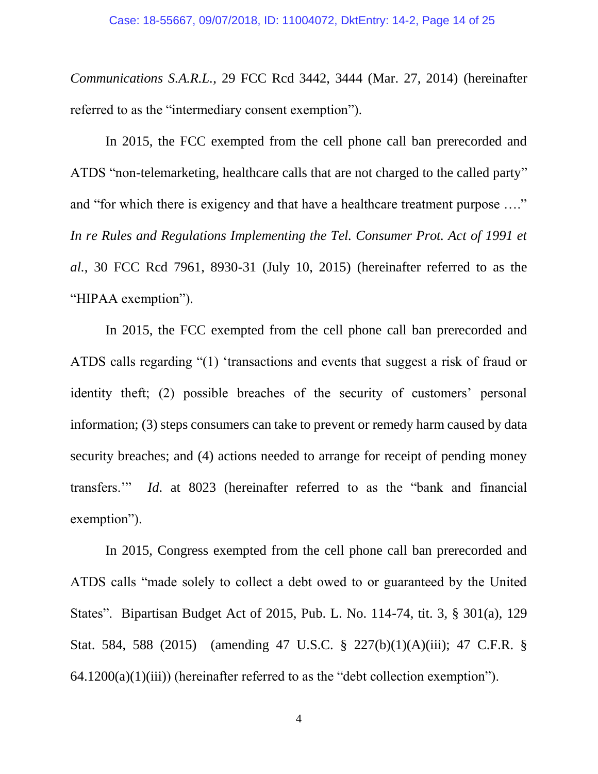*Communications S.A.R.L.*, 29 FCC Rcd 3442, 3444 (Mar. 27, 2014) (hereinafter referred to as the "intermediary consent exemption").

In 2015, the FCC exempted from the cell phone call ban prerecorded and ATDS "non-telemarketing, healthcare calls that are not charged to the called party" and "for which there is exigency and that have a healthcare treatment purpose …." In re Rules and Regulations Implementing the Tel. Consumer Prot. Act of 1991 et *al.*, 30 FCC Rcd 7961, 8930-31 (July 10, 2015) (hereinafter referred to as the "HIPAA exemption").

In 2015, the FCC exempted from the cell phone call ban prerecorded and ATDS calls regarding "(1) 'transactions and events that suggest a risk of fraud or identity theft; (2) possible breaches of the security of customers' personal information; (3) steps consumers can take to prevent or remedy harm caused by data security breaches; and (4) actions needed to arrange for receipt of pending money transfers.'" *Id*. at 8023 (hereinafter referred to as the "bank and financial exemption").

In 2015, Congress exempted from the cell phone call ban prerecorded and ATDS calls "made solely to collect a debt owed to or guaranteed by the United States". Bipartisan Budget Act of 2015, Pub. L. No. 114-74, tit. 3, § 301(a), 129 Stat. 584, 588 (2015) (amending 47 U.S.C. § 227(b)(1)(A)(iii); 47 C.F.R. §  $64.1200(a)(1)(iii)$  (hereinafter referred to as the "debt collection exemption").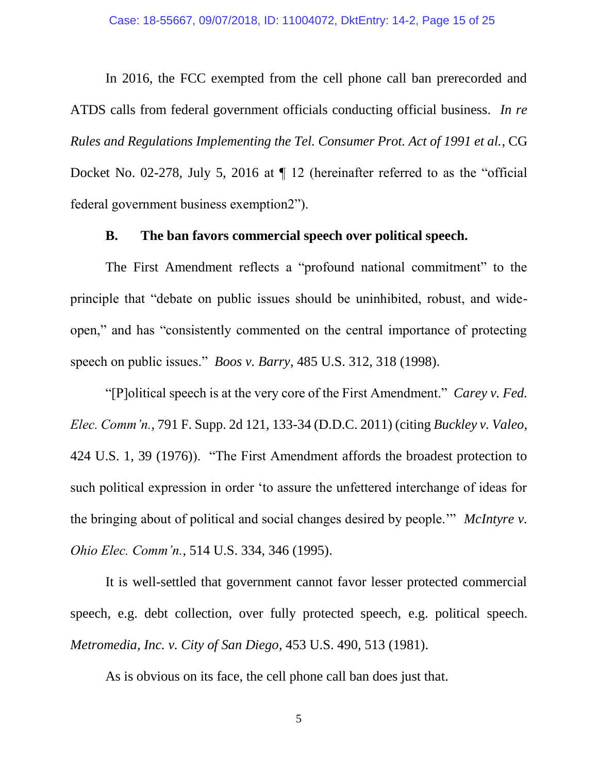In 2016, the FCC exempted from the cell phone call ban prerecorded and ATDS calls from federal government officials conducting official business. *In re Rules and Regulations Implementing the Tel. Consumer Prot. Act of 1991 et al.*, CG Docket No. 02-278, July 5, 2016 at  $\P$  12 (hereinafter referred to as the "official federal government business exemption2").

#### **B. The ban favors commercial speech over political speech.**

<span id="page-18-0"></span>The First Amendment reflects a "profound national commitment" to the principle that "debate on public issues should be uninhibited, robust, and wideopen," and has "consistently commented on the central importance of protecting speech on public issues." *Boos v. Barry*, 485 U.S. 312, 318 (1998).

"[P]olitical speech is at the very core of the First Amendment." *Carey v. Fed. Elec. Comm'n.*, 791 F. Supp. 2d 121, 133-34 (D.D.C. 2011) (citing *Buckley v. Valeo*, 424 U.S. 1, 39 (1976)). "The First Amendment affords the broadest protection to such political expression in order 'to assure the unfettered interchange of ideas for the bringing about of political and social changes desired by people.'" *McIntyre v. Ohio Elec. Comm'n.*, 514 U.S. 334, 346 (1995).

It is well-settled that government cannot favor lesser protected commercial speech, e.g. debt collection, over fully protected speech, e.g. political speech. *Metromedia, Inc. v. City of San Diego*, 453 U.S. 490, 513 (1981).

As is obvious on its face, the cell phone call ban does just that.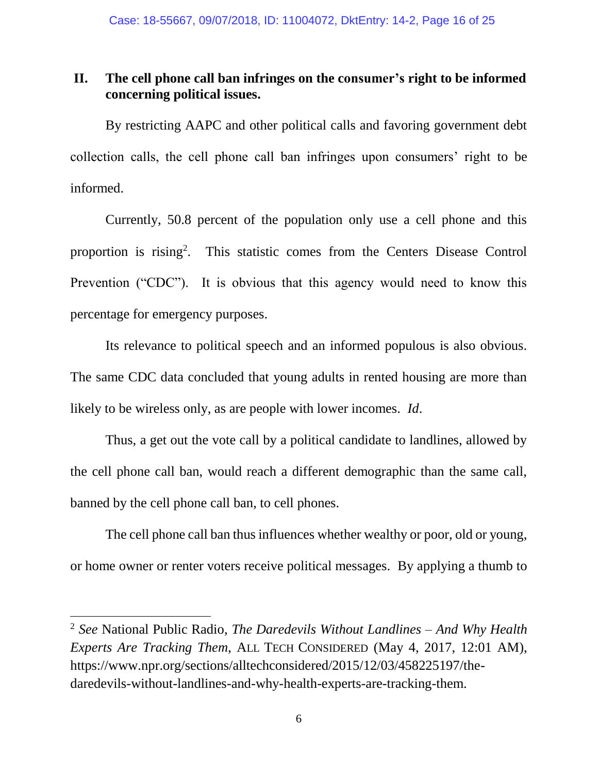### <span id="page-19-0"></span>**II. The cell phone call ban infringes on the consumer's right to be informed concerning political issues.**

By restricting AAPC and other political calls and favoring government debt collection calls, the cell phone call ban infringes upon consumers' right to be informed.

Currently, 50.8 percent of the population only use a cell phone and this proportion is rising<sup>2</sup>. This statistic comes from the Centers Disease Control Prevention ("CDC"). It is obvious that this agency would need to know this percentage for emergency purposes.

Its relevance to political speech and an informed populous is also obvious. The same CDC data concluded that young adults in rented housing are more than likely to be wireless only, as are people with lower incomes. *Id*.

Thus, a get out the vote call by a political candidate to landlines, allowed by the cell phone call ban, would reach a different demographic than the same call, banned by the cell phone call ban, to cell phones.

The cell phone call ban thus influences whether wealthy or poor, old or young, or home owner or renter voters receive political messages. By applying a thumb to

l

<sup>2</sup> *See* National Public Radio, *The Daredevils Without Landlines – And Why Health Experts Are Tracking Them*, ALL TECH CONSIDERED (May 4, 2017, 12:01 AM), https://www.npr.org/sections/alltechconsidered/2015/12/03/458225197/thedaredevils-without-landlines-and-why-health-experts-are-tracking-them.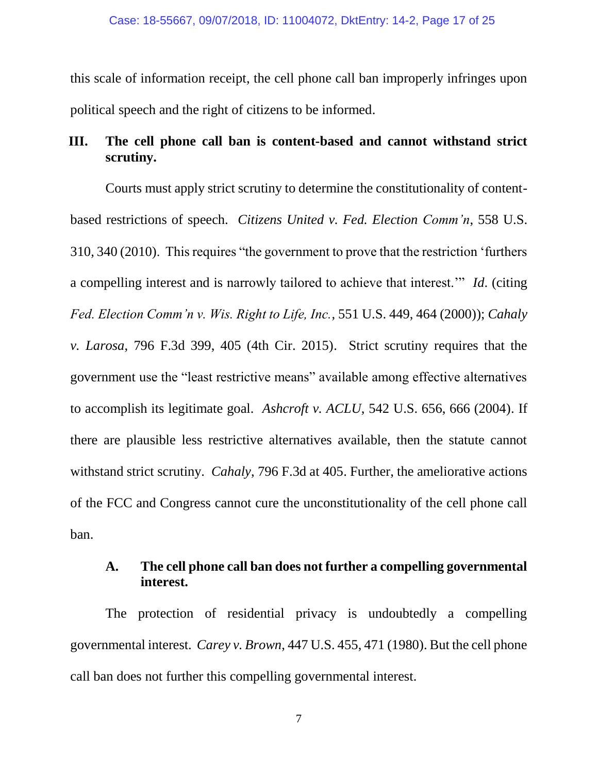this scale of information receipt, the cell phone call ban improperly infringes upon political speech and the right of citizens to be informed.

### <span id="page-20-0"></span>**III. The cell phone call ban is content-based and cannot withstand strict scrutiny.**

Courts must apply strict scrutiny to determine the constitutionality of contentbased restrictions of speech. *Citizens United v. Fed. Election Comm'n*, 558 U.S. 310, 340 (2010). This requires "the government to prove that the restriction 'furthers a compelling interest and is narrowly tailored to achieve that interest.'" *Id*. (citing *Fed. Election Comm'n v. Wis. Right to Life, Inc.*, 551 U.S. 449, 464 (2000)); *Cahaly v. Larosa*, 796 F.3d 399, 405 (4th Cir. 2015). Strict scrutiny requires that the government use the "least restrictive means" available among effective alternatives to accomplish its legitimate goal. *Ashcroft v. ACLU*, 542 U.S. 656, 666 (2004). If there are plausible less restrictive alternatives available, then the statute cannot withstand strict scrutiny. *Cahaly*, 796 F.3d at 405. Further, the ameliorative actions of the FCC and Congress cannot cure the unconstitutionality of the cell phone call ban.

#### <span id="page-20-1"></span>**A. The cell phone call ban does not further a compelling governmental interest.**

The protection of residential privacy is undoubtedly a compelling governmental interest. *Carey v. Brown*, 447 U.S. 455, 471 (1980). But the cell phone call ban does not further this compelling governmental interest.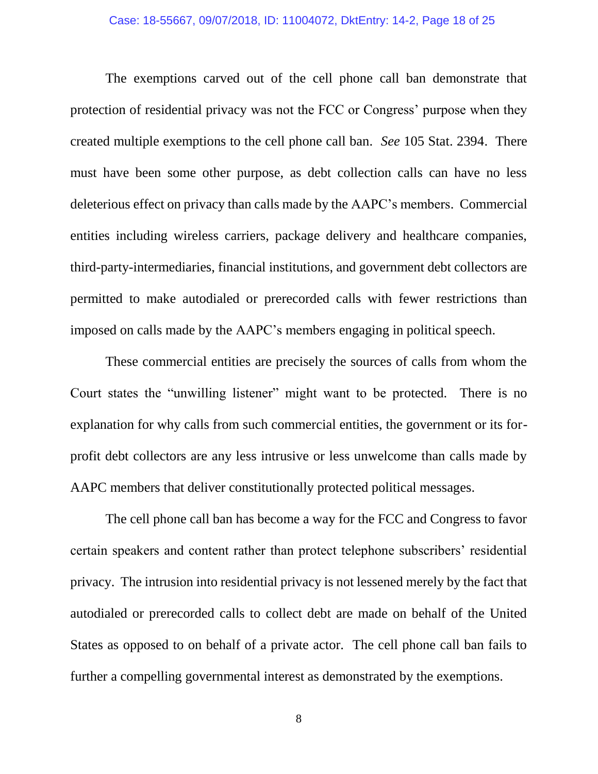#### Case: 18-55667, 09/07/2018, ID: 11004072, DktEntry: 14-2, Page 18 of 25

The exemptions carved out of the cell phone call ban demonstrate that protection of residential privacy was not the FCC or Congress' purpose when they created multiple exemptions to the cell phone call ban. *See* 105 Stat. 2394. There must have been some other purpose, as debt collection calls can have no less deleterious effect on privacy than calls made by the AAPC's members. Commercial entities including wireless carriers, package delivery and healthcare companies, third-party-intermediaries, financial institutions, and government debt collectors are permitted to make autodialed or prerecorded calls with fewer restrictions than imposed on calls made by the AAPC's members engaging in political speech.

These commercial entities are precisely the sources of calls from whom the Court states the "unwilling listener" might want to be protected. There is no explanation for why calls from such commercial entities, the government or its forprofit debt collectors are any less intrusive or less unwelcome than calls made by AAPC members that deliver constitutionally protected political messages.

The cell phone call ban has become a way for the FCC and Congress to favor certain speakers and content rather than protect telephone subscribers' residential privacy. The intrusion into residential privacy is not lessened merely by the fact that autodialed or prerecorded calls to collect debt are made on behalf of the United States as opposed to on behalf of a private actor. The cell phone call ban fails to further a compelling governmental interest as demonstrated by the exemptions.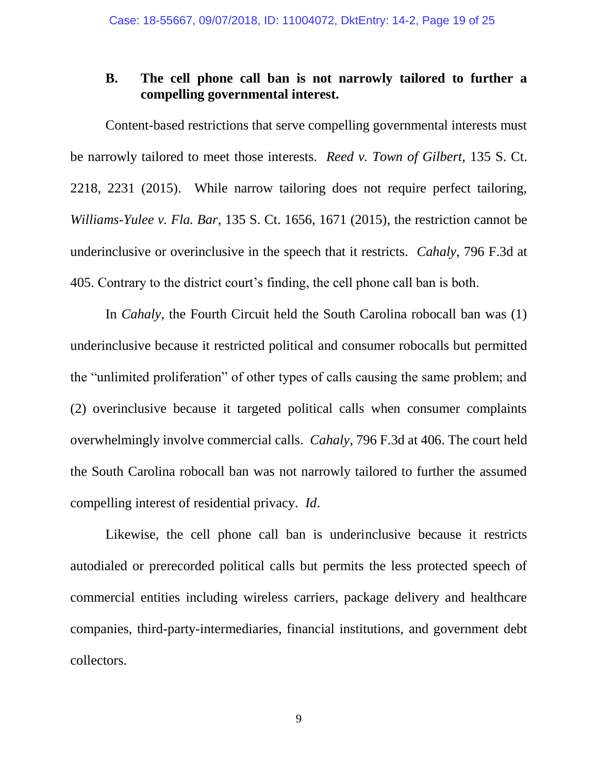### <span id="page-22-0"></span>**B. The cell phone call ban is not narrowly tailored to further a compelling governmental interest.**

Content-based restrictions that serve compelling governmental interests must be narrowly tailored to meet those interests. *Reed v. Town of Gilbert,* 135 S. Ct. 2218, 2231 (2015). While narrow tailoring does not require perfect tailoring, *Williams-Yulee v. Fla. Bar*, 135 S. Ct. 1656, 1671 (2015), the restriction cannot be underinclusive or overinclusive in the speech that it restricts. *Cahaly*, 796 F.3d at 405. Contrary to the district court's finding, the cell phone call ban is both.

In *Cahaly*, the Fourth Circuit held the South Carolina robocall ban was (1) underinclusive because it restricted political and consumer robocalls but permitted the "unlimited proliferation" of other types of calls causing the same problem; and (2) overinclusive because it targeted political calls when consumer complaints overwhelmingly involve commercial calls. *Cahaly*, 796 F.3d at 406. The court held the South Carolina robocall ban was not narrowly tailored to further the assumed compelling interest of residential privacy. *Id*.

Likewise, the cell phone call ban is underinclusive because it restricts autodialed or prerecorded political calls but permits the less protected speech of commercial entities including wireless carriers, package delivery and healthcare companies, third-party-intermediaries, financial institutions, and government debt collectors.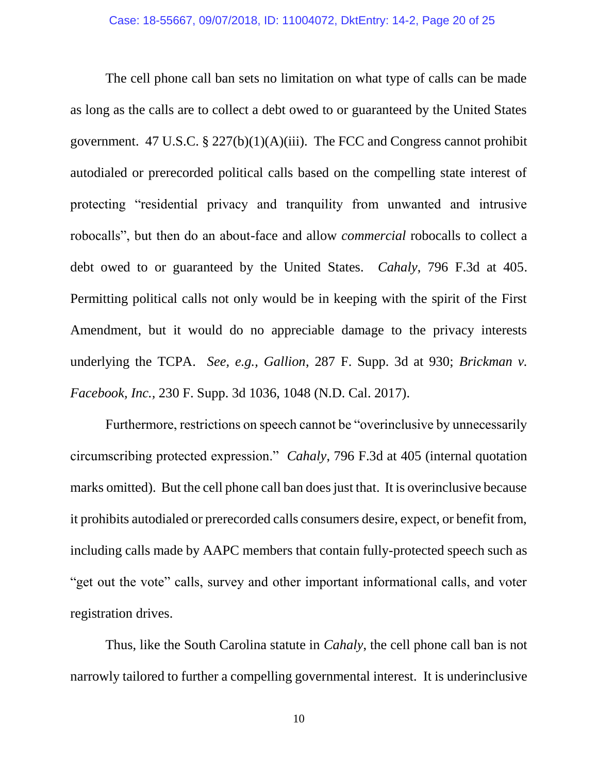The cell phone call ban sets no limitation on what type of calls can be made as long as the calls are to collect a debt owed to or guaranteed by the United States government. 47 U.S.C. § 227(b)(1)(A)(iii). The FCC and Congress cannot prohibit autodialed or prerecorded political calls based on the compelling state interest of protecting "residential privacy and tranquility from unwanted and intrusive robocalls", but then do an about-face and allow *commercial* robocalls to collect a debt owed to or guaranteed by the United States. *Cahaly*, 796 F.3d at 405. Permitting political calls not only would be in keeping with the spirit of the First Amendment, but it would do no appreciable damage to the privacy interests underlying the TCPA. *See, e.g., Gallion*, 287 F. Supp. 3d at 930; *Brickman v. Facebook, Inc.,* 230 F. Supp. 3d 1036, 1048 (N.D. Cal. 2017).

Furthermore, restrictions on speech cannot be "overinclusive by unnecessarily circumscribing protected expression." *Cahaly*, 796 F.3d at 405 (internal quotation marks omitted). But the cell phone call ban does just that. It is overinclusive because it prohibits autodialed or prerecorded calls consumers desire, expect, or benefit from, including calls made by AAPC members that contain fully-protected speech such as "get out the vote" calls, survey and other important informational calls, and voter registration drives.

Thus, like the South Carolina statute in *Cahaly*, the cell phone call ban is not narrowly tailored to further a compelling governmental interest. It is underinclusive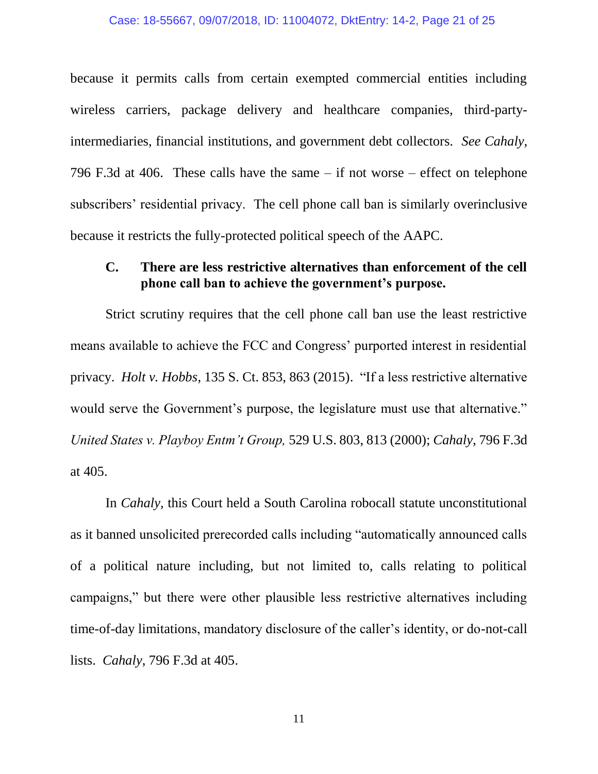#### Case: 18-55667, 09/07/2018, ID: 11004072, DktEntry: 14-2, Page 21 of 25

because it permits calls from certain exempted commercial entities including wireless carriers, package delivery and healthcare companies, third-partyintermediaries, financial institutions, and government debt collectors. *See Cahaly*, 796 F.3d at 406. These calls have the same – if not worse – effect on telephone subscribers' residential privacy. The cell phone call ban is similarly overinclusive because it restricts the fully-protected political speech of the AAPC.

#### <span id="page-24-0"></span>**C. There are less restrictive alternatives than enforcement of the cell phone call ban to achieve the government's purpose.**

Strict scrutiny requires that the cell phone call ban use the least restrictive means available to achieve the FCC and Congress' purported interest in residential privacy. *Holt v. Hobbs*, 135 S. Ct. 853, 863 (2015). "If a less restrictive alternative would serve the Government's purpose, the legislature must use that alternative." *United States v. Playboy Entm't Group,* 529 U.S. 803, 813 (2000); *Cahaly*, 796 F.3d at 405.

In *Cahaly,* this Court held a South Carolina robocall statute unconstitutional as it banned unsolicited prerecorded calls including "automatically announced calls of a political nature including, but not limited to, calls relating to political campaigns," but there were other plausible less restrictive alternatives including time-of-day limitations, mandatory disclosure of the caller's identity, or do-not-call lists. *Cahaly*, 796 F.3d at 405.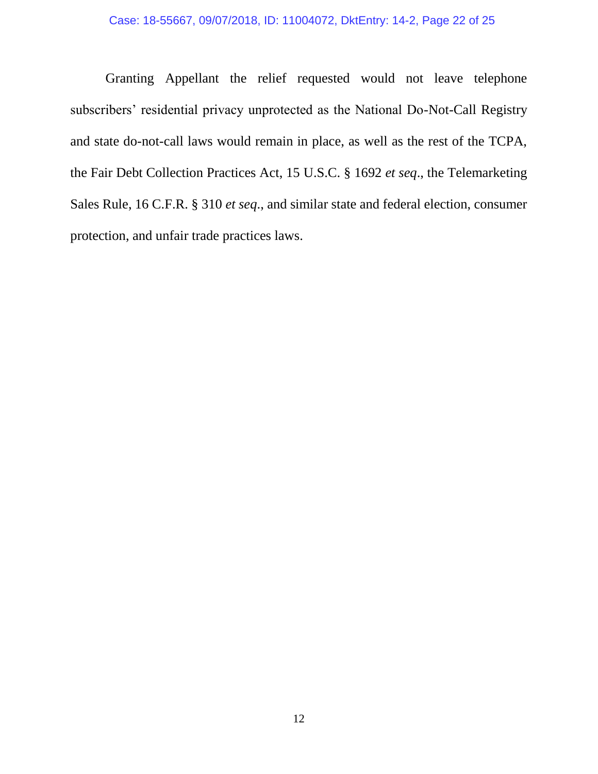Granting Appellant the relief requested would not leave telephone subscribers' residential privacy unprotected as the National Do-Not-Call Registry and state do-not-call laws would remain in place, as well as the rest of the TCPA, the Fair Debt Collection Practices Act, 15 U.S.C. § 1692 *et seq*., the Telemarketing Sales Rule, 16 C.F.R. § 310 *et seq*., and similar state and federal election, consumer protection, and unfair trade practices laws.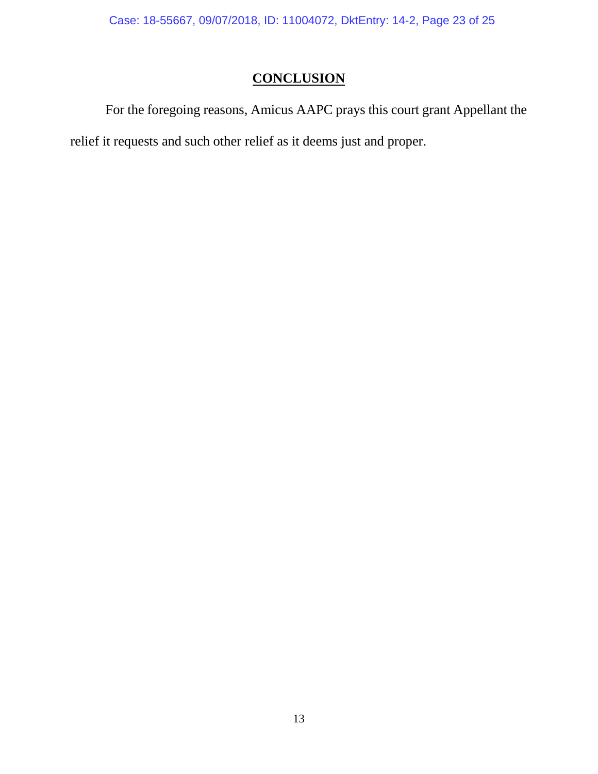Case: 18-55667, 09/07/2018, ID: 11004072, DktEntry: 14-2, Page 23 of 25

## **CONCLUSION**

<span id="page-26-0"></span>For the foregoing reasons, Amicus AAPC prays this court grant Appellant the relief it requests and such other relief as it deems just and proper.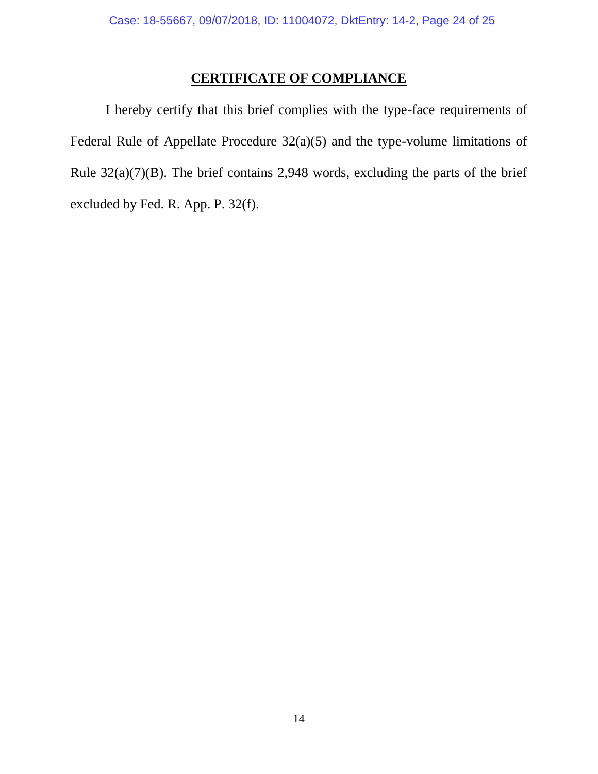## **CERTIFICATE OF COMPLIANCE**

<span id="page-27-0"></span>I hereby certify that this brief complies with the type-face requirements of Federal Rule of Appellate Procedure 32(a)(5) and the type-volume limitations of Rule  $32(a)(7)(B)$ . The brief contains 2,948 words, excluding the parts of the brief excluded by Fed. R. App. P. 32(f).